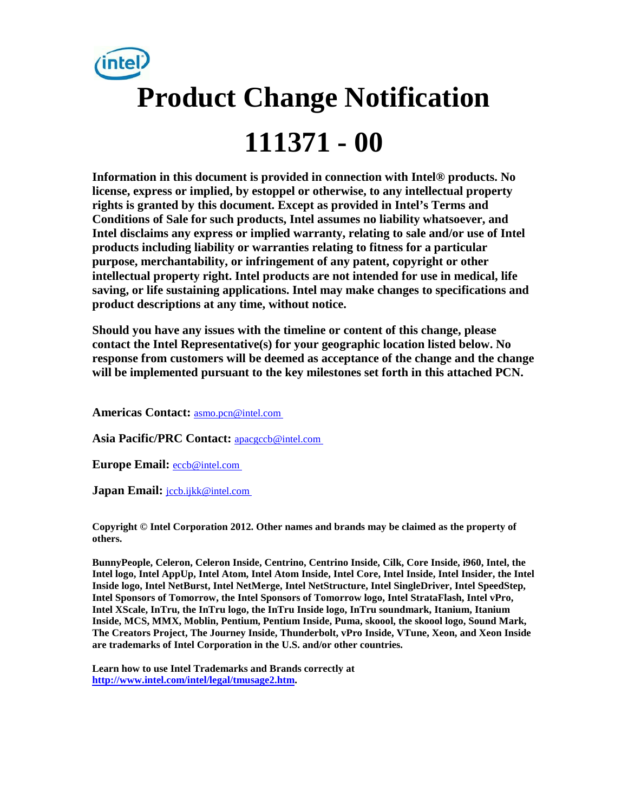

**Information in this document is provided in connection with Intel® products. No license, express or implied, by estoppel or otherwise, to any intellectual property rights is granted by this document. Except as provided in Intel's Terms and Conditions of Sale for such products, Intel assumes no liability whatsoever, and Intel disclaims any express or implied warranty, relating to sale and/or use of Intel products including liability or warranties relating to fitness for a particular purpose, merchantability, or infringement of any patent, copyright or other intellectual property right. Intel products are not intended for use in medical, life saving, or life sustaining applications. Intel may make changes to specifications and product descriptions at any time, without notice.** 

**Should you have any issues with the timeline or content of this change, please contact the Intel Representative(s) for your geographic location listed below. No response from customers will be deemed as acceptance of the change and the change will be implemented pursuant to the key milestones set forth in this attached PCN.** 

**Americas Contact:** [asmo.pcn@intel.com](mailto:asmo.pcn@intel.com) 

**Asia Pacific/PRC Contact:** [apacgccb@intel.com](mailto:apacgccb@intel.com) 

**Europe Email:** [eccb@intel.com](mailto:eccb@intel.com) 

Japan Email: **jccb.ijkk@intel.com** 

**Copyright © Intel Corporation 2012. Other names and brands may be claimed as the property of others.**

**BunnyPeople, Celeron, Celeron Inside, Centrino, Centrino Inside, Cilk, Core Inside, i960, Intel, the Intel logo, Intel AppUp, Intel Atom, Intel Atom Inside, Intel Core, Intel Inside, Intel Insider, the Intel Inside logo, Intel NetBurst, Intel NetMerge, Intel NetStructure, Intel SingleDriver, Intel SpeedStep, Intel Sponsors of Tomorrow, the Intel Sponsors of Tomorrow logo, Intel StrataFlash, Intel vPro, Intel XScale, InTru, the InTru logo, the InTru Inside logo, InTru soundmark, Itanium, Itanium Inside, MCS, MMX, Moblin, Pentium, Pentium Inside, Puma, skoool, the skoool logo, Sound Mark, The Creators Project, The Journey Inside, Thunderbolt, vPro Inside, VTune, Xeon, and Xeon Inside are trademarks of Intel Corporation in the U.S. and/or other countries.**

**Learn how to use Intel Trademarks and Brands correctly at [http://www.intel.com/intel/legal/tmusage2.htm.](http://www.intel.com/intel/legal/tmusage2.htm)**